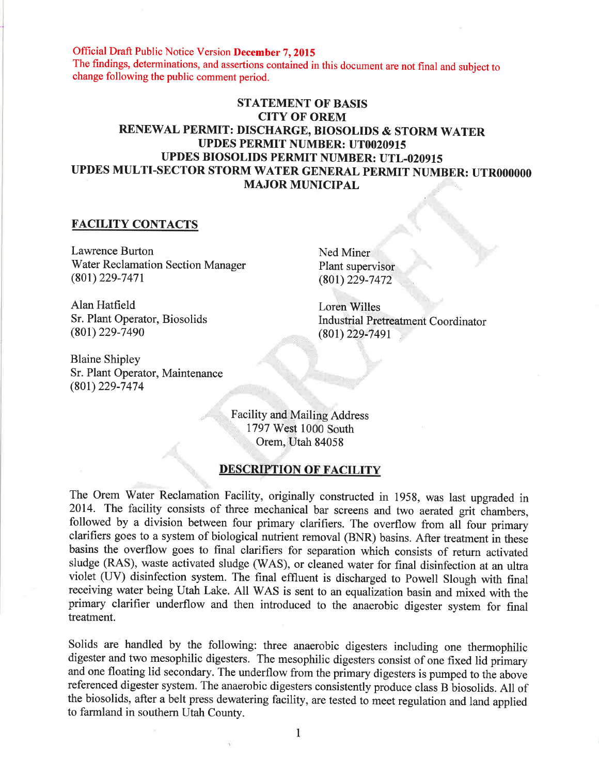Official Draft Public Notice Version December 7, 2015 The findings, determinations, and assertions contained in this document are not final and subject to change following the public comment period.

# STATEMENT OF BASIS CITY OF OREM RENEWAL PERMIT: DISCHARGE, BIOSOLIDS & STORM WATER UPDES PERMIT NUMBER: UT0020915 UPDES BIOSOLIDS PERMIT NUMBER: UTL-020915 UPDES MULTI-SECTOR STORM \ilATER GENERAL PERMIT NUMBER: UTROOOOOO MAJOR MUNICIPAL

### FACILITY CONTACTS

Lawrence Burton Water Reclamation Section Manager  $(801)$  229-7471

Alan Hatfield Sr. Plant Operator, Biosolids (801) 229-7490

Blaine Shipley Sr. Plant Operator, Maintenance (80t)229-7474

Ned Miner Plant supervisor (80t) 229-7472

Lorèn Willes Industrial Pretreatment Coordinator  $(801)$  229-7491

Facility and Mailing Address 1797 West 1000 South Orem, Utah 84058

# DESCRIPTION OF FACILITY

The Orem Water Reclamation Facility, originally constructed in 1958, was last upgraded in 2014. The facility consists of three mechanical bar screens and two aerated grit-chambers, followed by a division between four primary clarifiers. The overflow from all four primary clarifiers goes to a system of biological nutrient removal (BNR) basins. After treatment in these basins the overflow goes to final clarifiers for separation which consists of return activated sludge (RAS), waste activated sludge (WAS), or cleaned water for final disinfection at an ultra violet (UV) disinfection system. The final effluent is discharged to Powell Slough with final receiving water being Utah Lake. All WAS is sent to an equalization basin and mixed with the primary clarifier underflow and then introduced to the anaerobic digester system for final treatment.

Solids are handled by the following: three anaerobic digesters including one thermophilic digester and two mesophilic digesters. The mesophilic digesters consist of one fixed lid primary and one floating lid secondary. The underflow from the primary digesters is pumped to the above referenced digester system. The anaerobic digesters consistently produce class B biosolids. All of the biosolids, after a belt press dewatering facility, are tested to meet regulation and land applied to farmland in southern Utah County.

1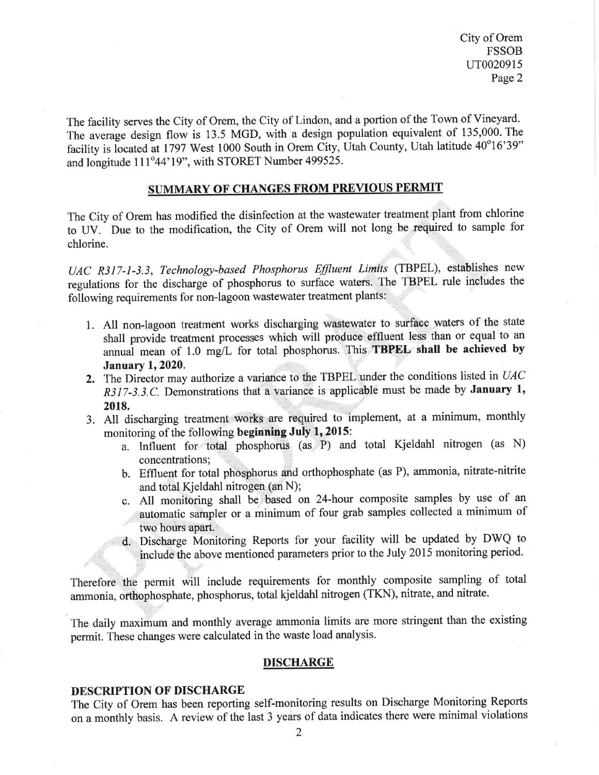City of Orem **FSSOB** ur0020915 Page 2

The facility serves the City of Orem, the City of Lindon, and a portion of the Town of Vineyard. The average design flow is 13.5 MGD, with a design population equivalent of 135,000. The facility is located at 1797 West 1000 South in Orem City, Utah County, Utah latitude 40°16'39" and longitude  $111°44'19"$ , with STORET Number 499525.

# SUMMARY OF CHANGES FROM PREVIOUS PERMIT

The City of Orem has modified the disinfection at the wastewater treatment plant from chlorine to UV. Due to the modification, the City of Orem will not long be.required to sample for chlorine.

UAC R3I7-l-3.3, Technology-based Phosphorus Eflluent Linits (TBPEL), establishes new regulations for the discharge of phosphorus to surface waters. The TBPEL rule includes the following requirements for non-lagoon wastewater treatment plants:

- 1. All non-lagoon treatment works discharging wastewater to surface waters of the state shall provide treatment processes which will produce effluent less than or equal to an annual mean of 1.0 mg/L for total phosphorus. This TBPEL shall be achieved by January 1, 2020.
- 2. The Director may authorize a variance to the TBPEL under the conditions listed in  $UAC$  $R317-3.3$ .C. Demonstrations that a variance is applicable must be made by **January 1**, 2018.
- 3. All discharging treatment works are required to implement, at a minimum, monthly monitoring of the following beginning July 1, 2015:
	- a. Influent for total phosphorus (as P) and total Kjeldahl nitrogen (as N) concentrations;
	- b. Effluent for total phosphorus and orthophosphate (as P), ammonia, nitrate-nitrite and total.Kjeldahl nitrogen (an N);
	- c. All monitoring shall be based on 24-hour composite samples by use of an automatic sampler or a minimum of four grab samples collected a minimum of two hours apart.
	- d. Discharge Monitoring Reports for your facility will be updated by DWQ to include the above mentioned parameters prior to the July 2015 monitoring period.

Therefore the permit will include requirements for monthly composite sampling of total ammonia, orthophosphate, phosphorus, total kjeldahl nitrogen (TKN), nitrate, and nitrate.

The daily maximum and monthly average ammonia limits are more stringent than the existing permit. These changes were calculated in the waste load analysis.

#### **DISCHARGE**

#### DESCRIPTION OF DISCHARGE

i.,:

The City of Orem has been reporting self-monitoring results on Discharge Monitoring Reports on a monthly basis. A review of the last 3 years of data indicates there were minimal violations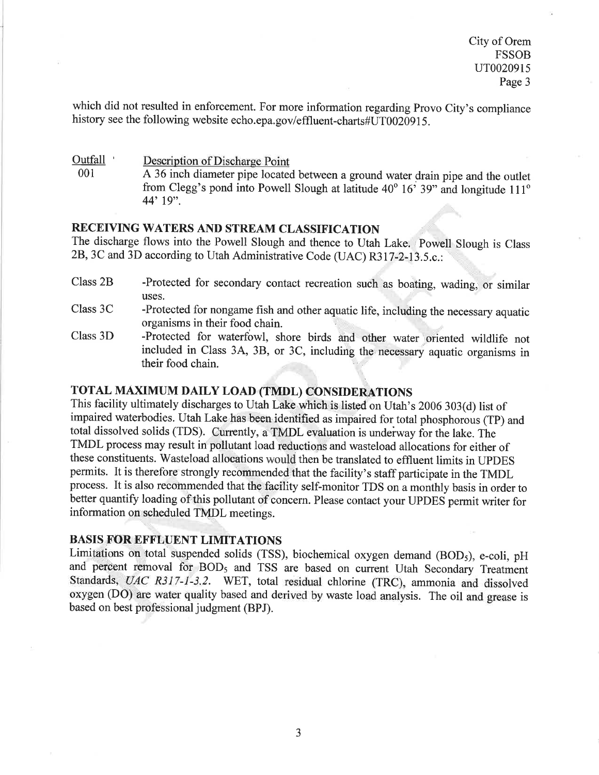which did not resulted in enforcement. For more information regarding Provo City's compliance history see the following website echo.epa.gov/effluent-charts#UT0020915.

Outfall Description of Discharge Point<br>  $0.01$  A 36 inch diameter pine located

A 36 inch diameter pipe located between a ground water drain pipe and the outlet from Clegg's pond into Powell Slough at latitude  $40^{\circ}$   $16^{\circ}$  39" and longitude  $111^{\circ}$ 44'19".

# RECEIVING WATERS AND STREAM CLASSIFICATION

The discharge flows into the Powell Slough and thence to Utah Lake. Powell Slough is Class 28,3C and 3D according to Utah Administrative Code (UAC) R3l7-2-13.5.c.:

- Class 2B -Protected for secondary contact recreation such as boating, wading, or similar uses.
- Class 3C -Protected for nongame fish and other aquatic life, including the necessary aquatic organisms in their food chain
- Class 3D -Protected for waterfowl, shore birds and other water oriented wildlife not included in Class 34, 38, or 3C, including the necessary aquatic organisms in their food chain.

# TOTAL MAXIMUM DAILY LOAD (TMDL) CONSIDERATIONS

This facility ultimately discharges to Utah Lake which is listed on Utah's 2006 303(d) list of impaired waterbodies. Utah Lake.hâs been identified as impaired for total phosphorous (TP) and total dissolved solids (TDS). Currently, a TMDL evaluation is underway for the lake. The TMDL process may result in pollutant load reductions and wasteload allocations for either of these constituents. Wasteload allocations would then be translated to effluent limits in UPDES permits. It is therefore strongly recommended that the facility's staff participate in the TMDL process. It is also recommended that the facility self-monitor TDS on a monthly basis in order to better quantify loading of this pollutant of concern. Please contact your UPDES permit writer for information on scheduled TMDL meetings.

# BASIS FOR EFFLUENT LIMITATIONS

Limitations on total suspended solids (TSS), biochemical oxygen demand (BOD<sub>5</sub>), e-coli, pH and percent removal for BOD<sub>5</sub> and TSS are based on current Utah Secondary Treatment Standards, UAC R3I7-l-3.2. WET, total residual chlorine (TRC), ammonia and dissolved oxygen (DO) are water quality based and derived by waste load analysis. The oil and grease is based on best professional judgment (BPJ).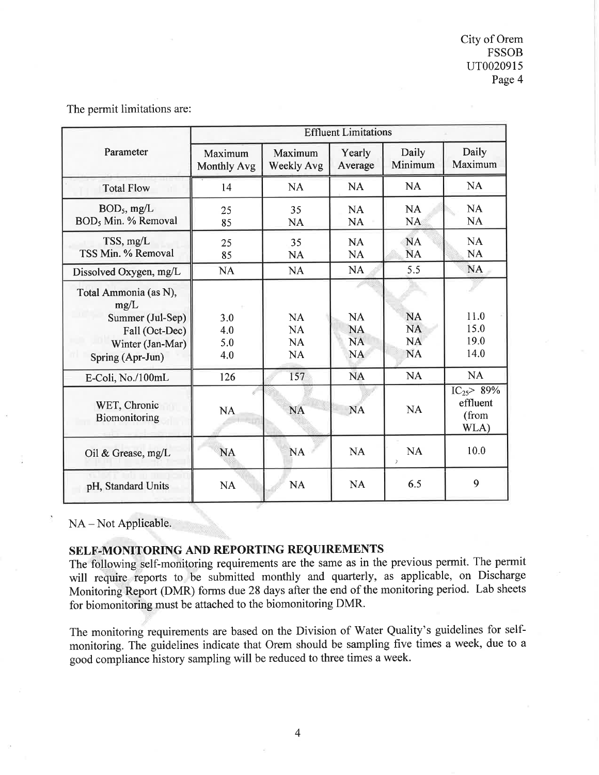|                                                                                                             | <b>Effluent Limitations</b>   |                                                  |                                                  |                                                  |                                               |
|-------------------------------------------------------------------------------------------------------------|-------------------------------|--------------------------------------------------|--------------------------------------------------|--------------------------------------------------|-----------------------------------------------|
| Parameter                                                                                                   | Maximum<br><b>Monthly Avg</b> | Maximum<br><b>Weekly Avg</b>                     | Yearly<br>Average                                | Daily<br>Minimum                                 | Daily<br>Maximum                              |
| <b>Total Flow</b>                                                                                           | 14                            | <b>NA</b>                                        | <b>NA</b>                                        | <b>NA</b>                                        | <b>NA</b>                                     |
| $BOD5$ , mg/L<br>BOD, Min. % Removal                                                                        | 25<br>85                      | 35<br><b>NA</b>                                  | <b>NA</b><br><b>NA</b>                           | <b>NA</b><br><b>NA</b>                           | <b>NA</b><br><b>NA</b>                        |
| $TSS$ , mg/L<br>TSS Min. % Removal                                                                          | 25<br>85                      | 35<br><b>NA</b>                                  | <b>NA</b><br><b>NA</b>                           | <b>NA</b><br><b>NA</b>                           | <b>NA</b><br>NA                               |
| Dissolved Oxygen, mg/L                                                                                      | <b>NA</b>                     | <b>NA</b>                                        | NA                                               | 5.5                                              | <b>NA</b>                                     |
| Total Ammonia (as N),<br>mg/L<br>Summer (Jul-Sep)<br>Fall (Oct-Dec)<br>Winter (Jan-Mar)<br>Spring (Apr-Jun) | 3.0<br>4.0<br>5.0<br>4.0      | <b>NA</b><br><b>NA</b><br><b>NA</b><br><b>NA</b> | <b>NA</b><br><b>NA</b><br><b>NA</b><br><b>NA</b> | <b>NA</b><br><b>NA</b><br><b>NA</b><br><b>NA</b> | 11.0<br>15.0<br>19.0<br>14.0                  |
| E-Coli, No./100mL                                                                                           | 126                           | 157                                              | <b>NA</b>                                        | <b>NA</b>                                        | <b>NA</b>                                     |
| WET, Chronic<br>Biomonitoring                                                                               | NA                            | <b>NA</b>                                        | <b>NA</b>                                        | <b>NA</b>                                        | $IC_{25} > 89\%$<br>effluent<br>(from<br>WLA) |
| Oil & Grease, $mg/L$                                                                                        | <b>NA</b>                     | <b>NA</b>                                        | <b>NA</b>                                        | <b>NA</b><br>$\overline{ }$                      | 10.0                                          |
| pH, Standard Units                                                                                          | <b>NA</b>                     | <b>NA</b>                                        | <b>NA</b>                                        | 6.5                                              | 9                                             |

The permit limitations are:

NA – Not Applicable.

# SELF-MONITORING AND REPORTING REQUIREMENTS

The following self-monitoring requirements are the same as in the previous permit. The permit will require reports to be submitted monthly and quarterly, as applicable, on Discharge Monitoring Report (DMR) forms due 28 days after the end of the monitoring period. Lab sheets for biomonitoring must be attached to the biomonitoring DMR.

The monitoring requirements are based on the Division of Water Quality's guidelines for selfmonitoring. The guidelines indicate that Orem should be sampling five times a week, due to <sup>a</sup> good compliance history sampling will be reduced to three times a week.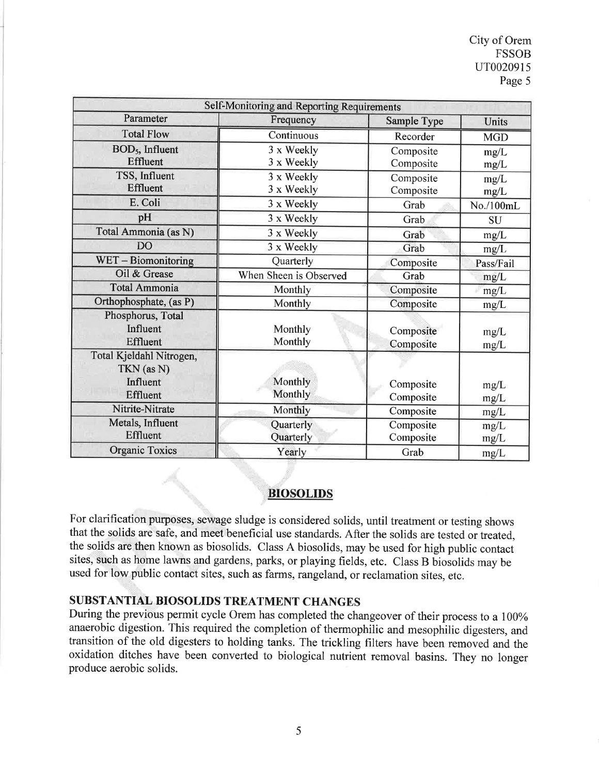| Self-Monitoring and Reporting Requirements                            |                                                  |                        |              |
|-----------------------------------------------------------------------|--------------------------------------------------|------------------------|--------------|
| Parameter                                                             | Frequency                                        | Sample Type            | Units        |
| <b>Total Flow</b>                                                     | Continuous                                       | Recorder               | <b>MGD</b>   |
| BOD <sub>5</sub> , Influent<br><b>Effluent</b>                        | 3 x Weekly<br>3 x Weekly                         | Composite<br>Composite | mg/L<br>mg/L |
| TSS, Influent<br>Effluent                                             | 3 x Weekly<br>3 x Weekly                         | Composite<br>Composite | mg/L<br>mg/L |
| E. Coli                                                               | 3 x Weekly                                       | Grab                   | No./100mL    |
| pH                                                                    | 3 x Weekly                                       | Grab                   | <b>SU</b>    |
| Total Ammonia (as N)                                                  | 3 x Weekly                                       | Grab                   | mg/L         |
| <b>DO</b>                                                             | 3 x Weekly                                       | Grab                   | mg/L         |
| WET-Biomonitoring                                                     | Quarterly                                        | Composite              | Pass/Fail    |
| Oil & Grease                                                          | When Sheen is Observed                           | Grab                   | mg/L         |
| <b>Total Ammonia</b>                                                  | Monthly                                          | Composite              | mg/L         |
| Orthophosphate, (as P)                                                | Monthly                                          | Composite              | mg/L         |
| Phosphorus, Total<br>Influent<br><b>Effluent</b>                      | Monthly<br>Monthly                               | Composite<br>Composite | mg/L<br>mg/L |
| Total Kjeldahl Nitrogen,<br>TKN (as N)<br>Influent<br><b>Effluent</b> | Monthly<br>Monthly                               | Composite<br>Composite | mg/L<br>mg/L |
| Nitrite-Nitrate                                                       | Monthly                                          | Composite              | mg/L         |
| Metals, Influent<br><b>Effluent</b>                                   | Quarterly<br>Composite<br>Quarterly<br>Composite |                        | mg/L<br>mg/L |
| <b>Organic Toxics</b>                                                 | Yearly                                           | Grab                   | mg/L         |

# BIOSOLIDS

For clarification purposes, sewage sludge is considered solids, until treatment or testing shows that the solids are safe, and meet beneficial use standards. After the solids are tested or treated, the solids are then known as biosolids. Class A biosolids, may be used for high public contact sites, such as home lawns and gardens, parks, or playing fields, etc. Class B biosolids may be used for low public contact sites, such as farms, rangeland, or reclamation sites, etc.

# SUBSTANTIAL BIOSOLIDS TREATMENT CHANGES

During the previous permit cycle Orem has completed the changeover of their process to a 100% anaerobic digestion. This required the completion of thermophilic and mesophilic digesters, and transition of the old digesters to holding tanks. The trickling filters have been removed and the oxidation ditches have been converted to biological nutrient removal basins. They no longer produce aerobic solids.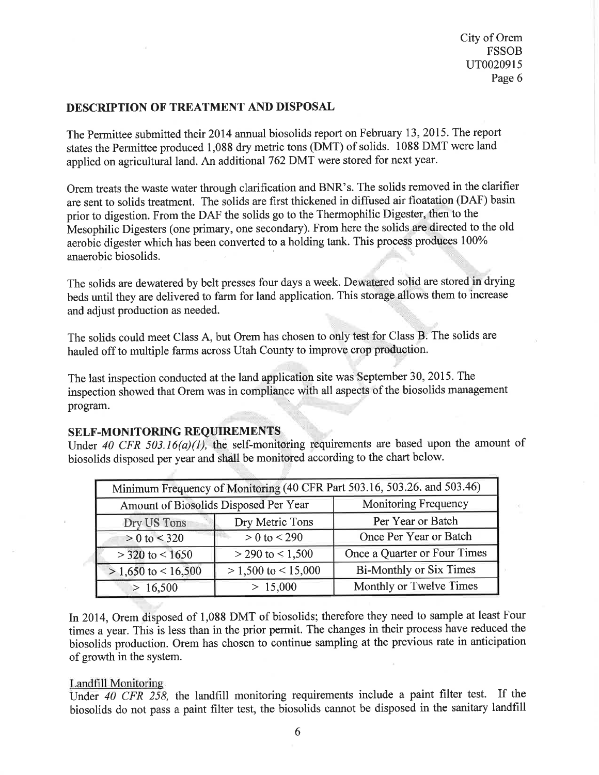### DESCRIPTION OF TREATMENT AND DISPOSAL

The Permittee submitted their 2014 annual biosolids report on February 13, 2015. The report states the Permittee produced 1,088 dry metric tons (DMT) of solids. 1088 DMT were land applied on agricultural land. An additional 762 DMT were stored for next year.

Orem treats the waste water through clarification and BNR's. The solids removed in the clarifier are sent to solids treatment. The solids are first thickened in diffused air floatation (DAF) basin prior to digestion. From the DAF the solids go to the Thermophilic Digester, then to the Mesophilic Digesters (one primary, one secondary). From here the solids are directed to the old aerobic digester which has been converted to a holding tank. This process produces 100%<br>anaerobic biosolids.

The solids are dewatered by belt presses four days a week. Dewatered solid are stored in drying beds until they are delivered to farm for land application. This storàge allows them to increase and adjust production as needed.

The solids could meet Class A, but Orem has chosen to only test for Class B. The solids are hauled off to multiple farms across Utah County to improve crop production.

The last inspection conducted at the land application site was September 30, 2015. The inspection showed that Orem was in compliance with all aspects'of the biosolids management program.

# SELF-MONITORING REQUIREMENTS

Under 40 CFR 503.16(a)(1), the self-monitoring requirements are based upon the amount of biosolids disposed per year and shall be monitored according to the chart below.

| Minimum Frequency of Monitoring (40 CFR Part 503.16, 503.26. and 503.46) |                         |                                |  |
|--------------------------------------------------------------------------|-------------------------|--------------------------------|--|
| Amount of Biosolids Disposed Per Year                                    |                         | <b>Monitoring Frequency</b>    |  |
| Dry US Tons                                                              | Dry Metric Tons         | Per Year or Batch              |  |
| $> 0$ to $<$ 320                                                         | $> 0$ to $< 290$        | Once Per Year or Batch         |  |
| $>$ 320 to $<$ 1650                                                      | $>$ 290 to $<$ 1,500    | Once a Quarter or Four Times   |  |
| $> 1,650$ to $< 16,500$                                                  | $> 1,500$ to $< 15,000$ | <b>Bi-Monthly or Six Times</b> |  |
| > 16,500                                                                 | > 15,000                | Monthly or Twelve Times        |  |

In 2014, Orem disposed of 1,088 DMT of biosolids; therefore they need to sample at least Four times a year. This is less than in the prior permit. The changes in their process have reduced the biosolids production. Orem has chosen to continue sampling at the previous rate in anticipation of growth in the system.

### Landfill Monitoring

Under 40 CFR 258, the landfill monitoring requirements include a paint filter test. If the biosolids do not pass a paint fîlter test, the biosolids cannot be disposed in the sanitary landfill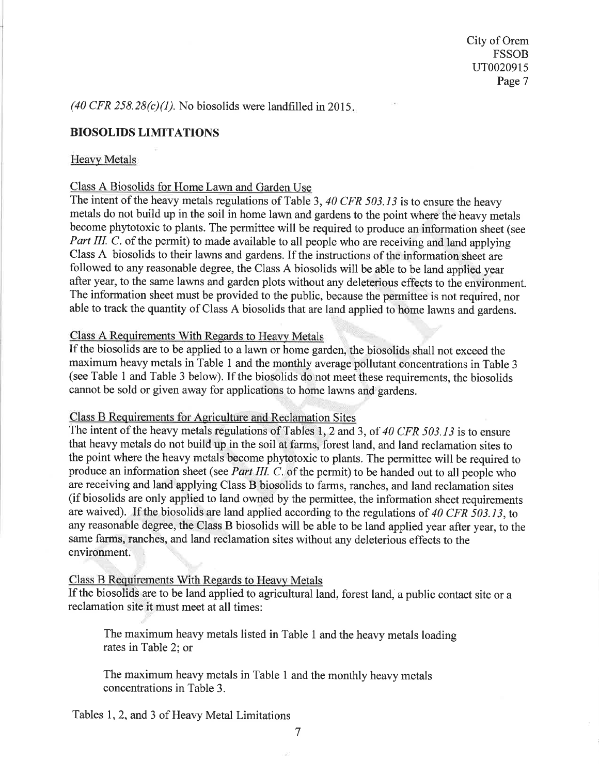(40 CFR 258.28 $(c)(1)$ ). No biosolids were landfilled in 2015.

### BIOSOLIDS LIMITATIONS

#### Heavy Metals

#### Class A Biosolids for Home Lawn and Garden Use

The intent of the heavy metals regulations of Table 3, 40 CFR 503.13 is to ensure the heavy metals do not build up in the soil in home lawn and gardens to the point where the heavy metals become phytotoxic to plants. The permittee will be required to produce an information sheet (see Part III. C. of the permit) to made available to all people who are receiving and land applying Class A biosolids to their lawns and gardens. If the instructions of the information sheet are followed to any reasonable degree, the Class A biosolids will be able to be land applied year after year, to the same lawns and garden plots without any deleterious effeçts to the environment. The information sheet must be provided to the public, because the permitteê is not required, nor able to track the quantity of Class A biosolids that are land applied to home lawns and gardens.

### Class A Requirements With Regards to Heavy Metals

If the biosolids are to be applied to a lawn or home garden, the biosolids shall not exceed the maximum heavy metals in Table I and the monthly average pollutant concentrations in Table <sup>3</sup> (see Table 1 and Table 3 below). If the biosolids do not meet these requirements, the biosolids cannot be sold or given away for applications to home lawns and gardens.

#### Class B Requirements for Agriculture and Reclamation Sites

The intent of the heavy metals regulations of Tables 1, 2 and 3, of 40 CFR 503.13 is to ensure that heavy metals do not build up in the soil at farms, forest land, and land reclamation sites to the point where the heavy metals become phytotoxic to plants. The permittee will be required to produce an information sheet (see *Part III. C.* of the permit) to be handed out to all people who are receiving and land applying Class B biosolids to farms, ranches, and land reclamation sites (if biosolids are only applied to land owned by the permittee, the information sheet requirements are waived). If the biosolids are land applied according to the regulations of 40 CFR 503.13, to any reasonable degree, the Class B biosolids will be able to be land applied year after year, to the same farms, ranches, and land reclamation sites without any deleterious effects to the environment.

#### Class B Requirements With Regards to Heavy Metals

If the biosolids are to be land applied to agricultural land, forest land, a public contact site or <sup>a</sup> reclamation site it must meet at all times:

The maximum heavy metals listed in Table 1 and the heavy metals loading rates in Table 2; or

The maximum heavy metals in Table 1 and the monthly heavy metals concentrations in Table 3.

Tables I,2, and 3 of Heavy Metal Limitations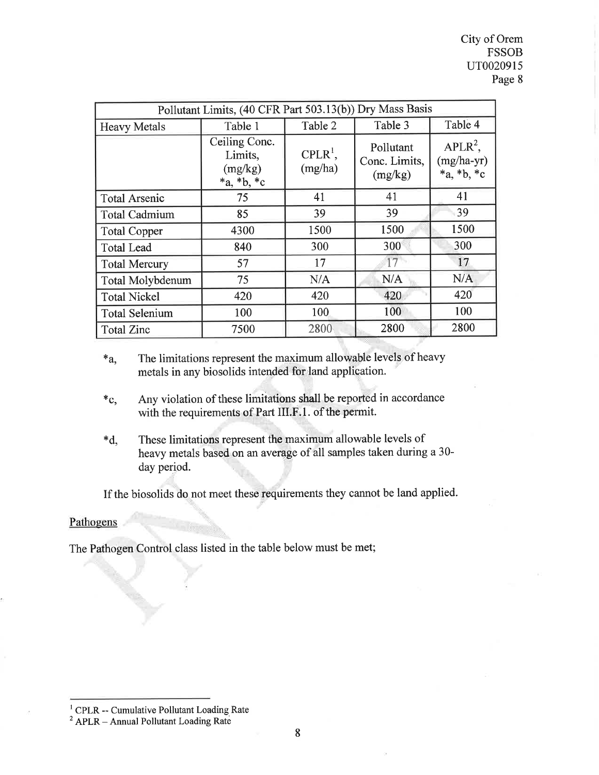City of Orem FSSOB uT0020915 Page 8

| Pollutant Limits, (40 CFR Part 503.13(b)) Dry Mass Basis |                                                        |                       |                                       |                                            |
|----------------------------------------------------------|--------------------------------------------------------|-----------------------|---------------------------------------|--------------------------------------------|
| <b>Heavy Metals</b>                                      | Table 1                                                | Table 2               | Table 4<br>Table 3                    |                                            |
|                                                          | Ceiling Conc.<br>Limits,<br>(mg/kg)<br>$*_a, *_b, *_c$ | $CPLR^1$ ,<br>(mg/ha) | Pollutant<br>Conc. Limits,<br>(mg/kg) | $APLR^2$ ,<br>$(mg/ha-yr)$<br>$*a, *b, *c$ |
| <b>Total Arsenic</b>                                     | 75                                                     | 41                    | 41                                    | 41                                         |
| <b>Total Cadmium</b>                                     | 85                                                     | 39                    | 39                                    | 39                                         |
| <b>Total Copper</b>                                      | 4300                                                   | 1500                  | 1500                                  | 1500                                       |
| <b>Total Lead</b>                                        | 840                                                    | 300                   | 300                                   | 300                                        |
| <b>Total Mercury</b>                                     | 57                                                     | 17                    | 17                                    | 17                                         |
| <b>Total Molybdenum</b>                                  | 75                                                     | N/A                   | N/A                                   | N/A                                        |
| <b>Total Nickel</b>                                      | 420                                                    | 420                   | 420                                   | 420                                        |
| <b>Total Selenium</b>                                    | 100                                                    | 100                   | 100                                   | 100                                        |
| <b>Total Zinc</b>                                        | 7500                                                   | 2800                  | 2800                                  | 2800                                       |

\*a, The limitations represent the maximum allowable levels of heavy metals in any biosolids intended for land application.

- \*c, Any violation of these limitations shall be reported in accordance with the requirements of Part III.F.1. of the permit.
- \*d, These limitations represent the maximum allowable levels of heavy metals based on an average of all samples taken during a 30 day period.

If the biosolids do not meet these requirements they cannot be land applied.

#### Pathogens

The Pathogen Control class listed in the table below must be met;

 $1$  CPLR -- Cumulative Pollutant Loading Rate

 $2$  APLR - Annual Pollutant Loading Rate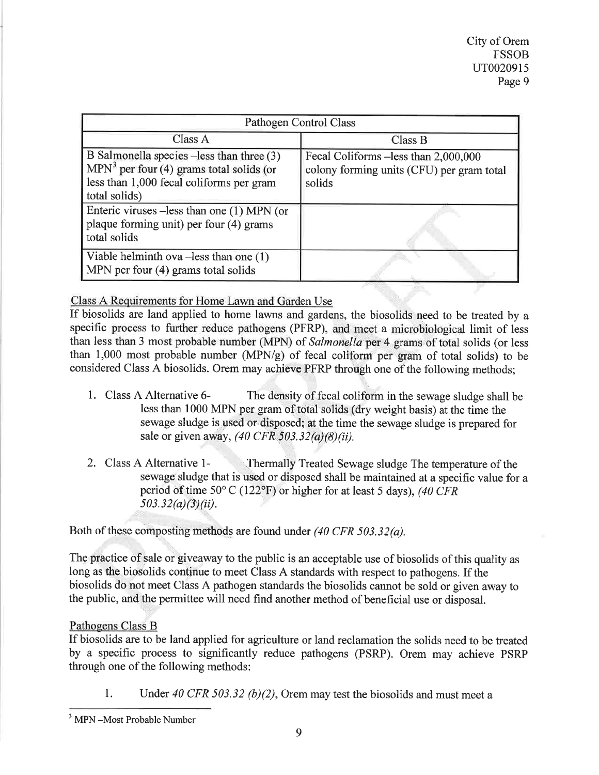| Pathogen Control Class                                                                                                                               |                                                                                              |  |
|------------------------------------------------------------------------------------------------------------------------------------------------------|----------------------------------------------------------------------------------------------|--|
| Class A                                                                                                                                              | Class B                                                                                      |  |
| B Salmonella species -less than three (3)<br>$MPN3$ per four (4) grams total solids (or<br>less than 1,000 fecal coliforms per gram<br>total solids) | Fecal Coliforms - less than 2,000,000<br>colony forming units (CFU) per gram total<br>solids |  |
| Enteric viruses –less than one (1) MPN (or<br>plaque forming unit) per four (4) grams<br>total solids                                                |                                                                                              |  |
| Viable helminth ova $-\text{less}$ than one (1)<br>MPN per four (4) grams total solids                                                               |                                                                                              |  |

Class A Requirements for Home Lawn and Garden Use

If biosolids are land applied to home lawns and gardens, the biosolids need to be treated by <sup>a</sup> specific process to further reduce pathogens (PFRP), and'meet a microbiological limit of less than less than 3 most probable number (MPN) of Salmonella per 4 grams of total solids (or less than 1,000 most probable number (MPN/g) of fecal coliform per gram of total solids) to be considered Class A biosolids. Orem may achieve PFRP through one of the following methods;

- 1. Class A Alternative 6- The density of fecal coliform in the sewage sludge shall be less than 1000 MPN per gram oftotal solids (dry weight basis) at the time the sewage sludge is used or disposed; at the time the sewage sludge is prepared for sale or given away,  $(40 \text{ CFR } 503.32(a)(8)(ii))$ .
- 2. Class A Alternative 1-<br>Thermally Treated Sewage sludge The temperature of the sewage sludge that is used or disposed shall be maintained at a specific value for a period of time  $50^{\circ}$  C (122°F) or higher for at least 5 days), (40 CFR  $503.32(a)(3)(ii)$ .

Both of these composting methods are found under (40 CFR 503.32(a).

The practice of sale or giveaway to the public is an acceptable use of biosolids of this quality as long as the biosolids continue to meet Class A standards with respect to pathogens. If the biosolids do not meet Class A pathogen standards the biosolids cannot be sold or given away to the public, and the permittee will need find another method of beneficial use or disposal.

# Pathogens Class B

If biosolids are to be land applied for agriculture or land reclamation the solids need to be treated by a specific process to significantly reduce pathogens (PSRP). Orem may achieve PSRP through one of the following methods:

1. Under 40 CFR 503.32 (b)(2), Orem may test the biosolids and must meet a

 $3$  MPN  $-Most$  Probable Number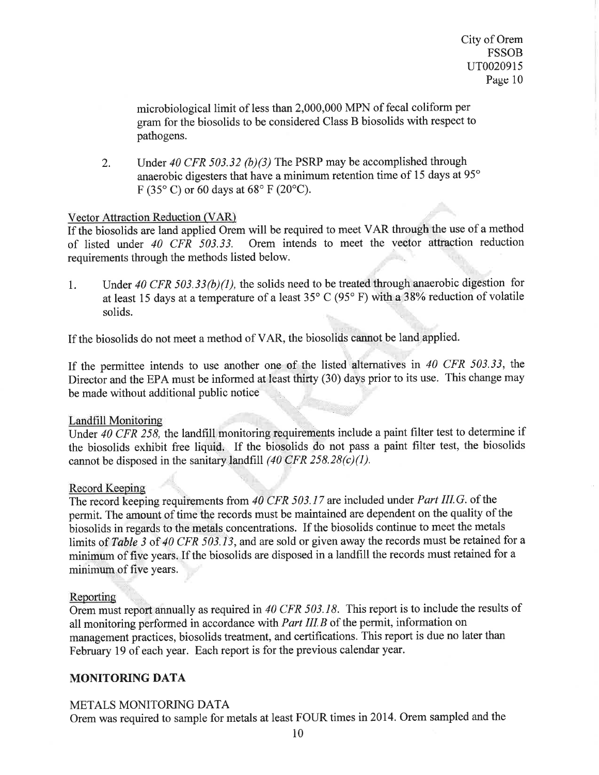microbiological limit of less than 2,000,000 MPN of fecal coliform per gram for the biosolids to be considered Class B biosolids with respect to pathogens.

Under 40 CFR 503.32 (b)(3) The PSRP may be accomplished through anaerobic digesters that have a minimum retention time of 15 days at 95° F (35 $\degree$ C) or 60 days at 68 $\degree$  F (20 $\degree$ C). 2.

# Vector Attraction Reduction (VAR)

If the biosolids are land applied Orem will be required to meet VAR through the use of a method of listed under  $40 \text{ CFR } 503.33$ . Orem intends to meet the vector attraction reduction Orem intends to meet the vector attraction reduction requirements through the methods listed below.

1. Under 40 CFR 503.33(b)(1), the solids need to be treated through anaerobic digestion for at least 15 days at a temperature of a least 35 $\degree$  C (95 $\degree$  F) with a 38% reduction of volatile solids.

If the biosolids do not meet a method of VAR, the biosolids cannot be land applied.

If the permittee intends to use another one of the listed alternatives in  $40$  CFR 503.33, the Director and the EPA must be informed at least thirty (30) days prior to its use. This change may be made without additional public notice

### Landfill Monitoring .

Under 40 CFR 258, the landfill monitoring requirements include a paint filter test to determine if the biosolids exhibit free liquid. If the biosolids do not pass a paint filter test, the biosolids cannot be disposed in the sanitary landfill  $(40 \text{ CFR } 258.28(c)(1))$ .

### Record Keeping

The record keeping requirements from  $40$  CFR 503.17 are included under Part III.G. of the permit. The amount of time the records must be maintained are dependent on the quality of the biosolids in regards to the metals concentrations. If the biosolids continue to meet the metals limits of Table 3 of 40 CFR 503.13, and are sold or given away the records must be retained for a minimum of five years. If the biosolids are disposed in a landfill the records must retained for <sup>a</sup> minimum of five years.

### Reporting

Orem must report annually as required in 40 CFR 503.18. This report is to include the results of all monitoring performed in accordance with *Part III.B* of the permit, information on management practices, biosolids treatment, and certifications. This report is due no later than February 19 of each year. Each report is for the previous calendar year.

# MONITORING DATA

# METALS MONITORING DATA

Orem was required to sample for metals at least FOUR times in20l4. Orem sampled and the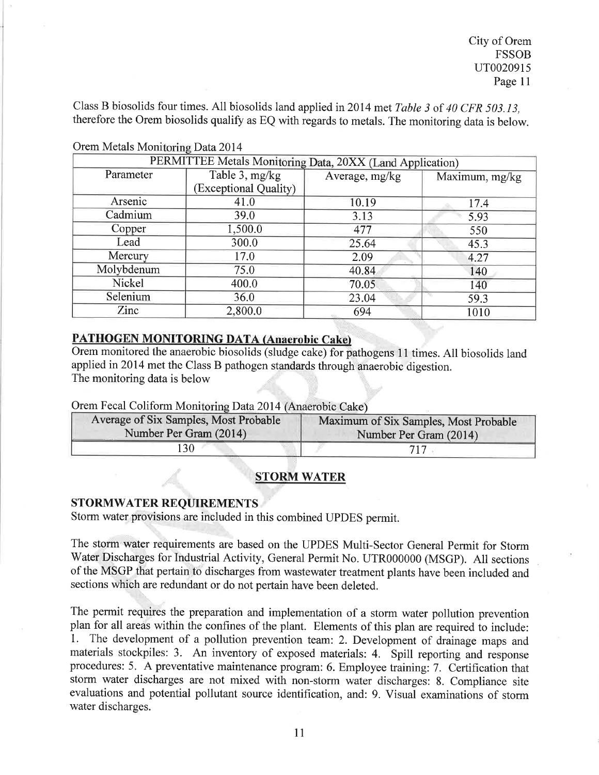Class B biosolids four times. All biosolids land applied in2014 met Table 3 of 40 CFR 503.I3, therefore the Orem biosolids qualify as EQ with regards to metals. The monitoring data is below.

| PERMITTEE Metals Monitoring Data, 20XX (Land Application) |                       |                |                |  |
|-----------------------------------------------------------|-----------------------|----------------|----------------|--|
| Parameter                                                 | Table 3, mg/kg        | Average, mg/kg | Maximum, mg/kg |  |
|                                                           | (Exceptional Quality) |                |                |  |
| Arsenic                                                   | 41.0                  | 10.19          | 17.4           |  |
| Cadmium                                                   | 39.0                  | 3.13           | 5.93           |  |
| Copper                                                    | 1,500.0               | 477            | 550            |  |
| Lead                                                      | 300.0                 | 25.64          | 45.3           |  |
| Mercury                                                   | 17.0                  | 2.09           | 4.27           |  |
| Molybdenum                                                | 75.0                  | 40.84          | 140            |  |
| Nickel                                                    | 400.0                 | 70.05          | 140            |  |
| Selenium                                                  | 36.0                  | 23.04          | 59.3           |  |
| Zinc                                                      | 2,800.0               | 694            | 1010           |  |

Orem Metals Monitoring Data 2014

### PATHOGEN MONITORING DATA (Anaerobic Cake)

Orem monitored the anaerobic biosolids (sludge cake) for pathogens l1 times. All biosolids land applied in20l4 met the Class B pathogen standards through anaerobic digestion. The monitoring data is below

Orem Fecal Coliform Monitoring Data 2014 (Anaerobic Cake)

| Average of Six Samples, Most Probable | Maximum of Six Samples, Most Probable |
|---------------------------------------|---------------------------------------|
| Number Per Gram (2014)                | Number Per Gram (2014)                |
| 30                                    |                                       |

# STORM WATER

### STORMWATER REQUIREMENTS

Storm water provisions are included in this combined UPDES permit.

The storm water requirements are based on the UPDES Multi-Sector General Permit for Storm Water Discharges for Industrial Activity, General Permit No. UTR000000 (MSGP). All sections of the MSGP that pertain to discharges from wastewater treatment plants have been included and sections which are redundant or do not pertain have been deleted.

The permit requires the preparation and implementation of a storm water pollution prevention plan for all areas within the confines of the plant. Elements of this plan are required to include: 1. The development of a pollution prevention team: 2. Development of drainage maps and materials stockpiles: 3. An inventory of exposed materials: 4. Spill reporting and response procedures: 5. A preventative maintenance program: 6. Employee training: 7. Certification that storm water discharges are not mixed with non-storm water discharges: 8. Compliance site evaluations and potential pollutant source identification, and: 9. Visual examinations of storm water discharges.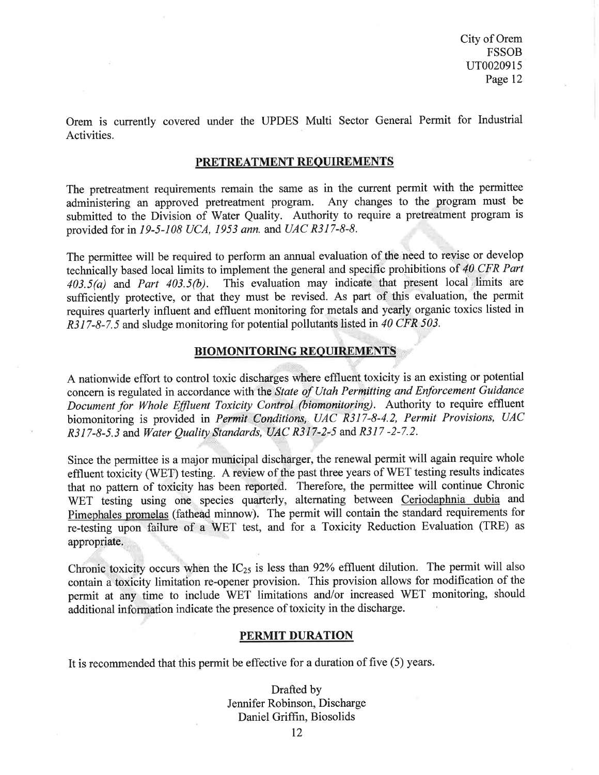Orem is currently covered under the UPDES Multi Sector General Permit for Industrial Activities.

#### PRETREATMENT REQUIREMENTS

The pretreatment requirements remain the same as in the current permit with the permittee administering an approved pretreatment program. Any changes to the program must be submitted to the Division of Water Quality. Authority to require a pretreatment program is provided for in 19-5-108 UCA, 1953 ann. and UAC R317-8-8.

The permittee will be required to perform an annual evaluation of the need to reyise or develop technically based local limits to implement the general and specific prohibitions of 40 CFR Part 403.5(a) and Part 403.5(b). This evaluation may indicate that present local limits are This evaluation may indicate that present local limits are sufficiently protective, or that they must be revised. As part of this evaluation, the permit requires quarterly influent and effluent monitoring for metals and yearly organic toxics listed in R317-8-7.5 and sludge monitoring for potential pollutants listed in 40 CFR 503.

### BIOMONITORING REQUIREMENTS

A nationwide effort to control toxic discharges where effluent toxicity is an existing or potential concern is regulated in accordance with the State of Utah Permitting and Enforcement Guidance Document for Whole Effluent Toxicity Control (biomonitoring). Authority to require effluent biomonitoring is provided in Permit Conditions, UAC R317-8-4.2, Permit Provisions, UAC  $R317-8-5.3$  and Water Ouality Standards, UAC R317-2-5 and R317-2-7.2.

Since the permittee is a major municipal discharger, the renewal permit will again require whole effluent toxicity (WET) testing. A review of the past three years of WET testing results indicates that no pattern of toxicity has been reportêd. Therefore, the permittee will continue Chronic WET testing using one species quarterly, alternating between Ceriodaphnia dubia and Pimephales promelas (fathead minnow). The permit will contain the standard requirements for re-testing upon failure of a WET test, and for a Toxicity Reduction Evaluation (TRE) as appropriate

Chronic toxicity occurs when the  $IC_{25}$  is less than 92% effluent dilution. The permit will also contain a toxicity limitation re-opener provision. This provision allows for modification of the permit at any time to include WET limitations and/or increased WET monitoring, should additional information indicate the presence of toxicity in the discharge.

#### PERMIT DURATION

It is recommended that this permit be effective for a duration of five (5) years.

Drafted by Jennifer Robinson, Discharge Daniel Griffin, Biosolids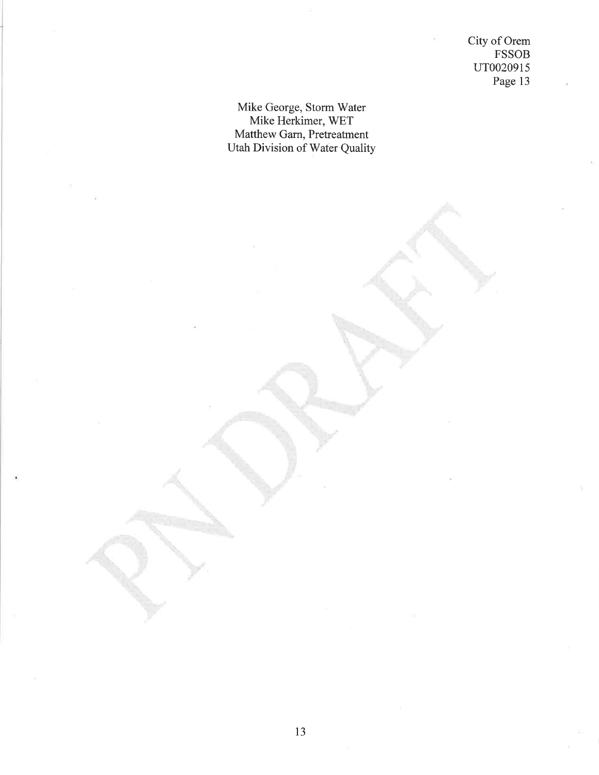City of Orem FSSOB uT002091s Page 13

# Mike George, Storm Water Mike Herkimer, WET Matthew Garn, Pretreatment Utah Division of Water Quality